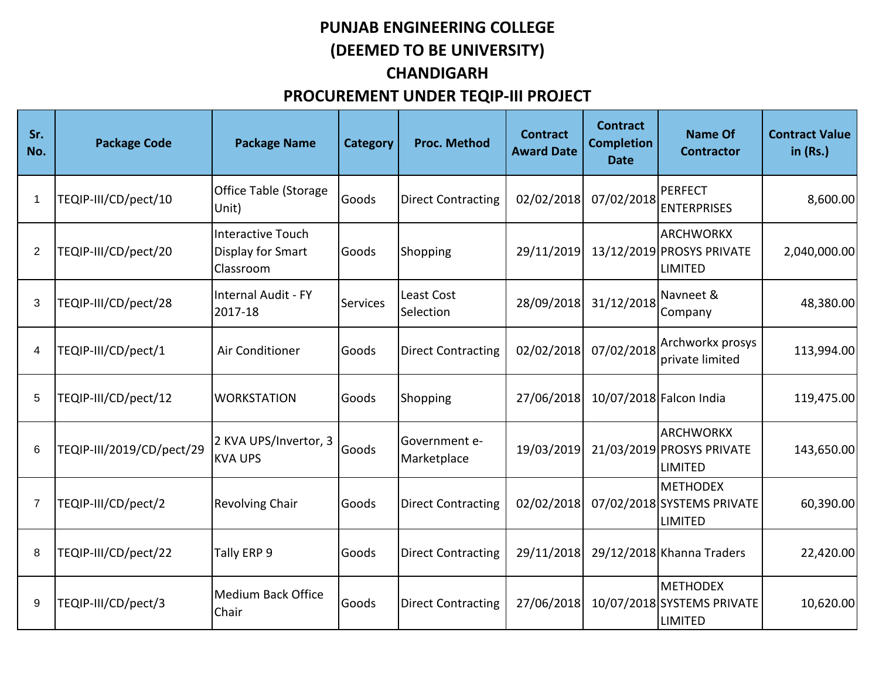## **PUNJAB ENGINEERING COLLEGE (DEEMED TO BE UNIVERSITY)**

## **CHANDIGARH**

## **PROCUREMENT UNDER TEQIP-III PROJECT**

| Sr.<br>No.     | <b>Package Code</b>       | <b>Package Name</b>                                               | <b>Category</b> | <b>Proc. Method</b>          | <b>Contract</b><br><b>Award Date</b> | <b>Contract</b><br><b>Completion</b><br><b>Date</b> | <b>Name Of</b><br><b>Contractor</b>                             | <b>Contract Value</b><br>in $(Rs.)$ |
|----------------|---------------------------|-------------------------------------------------------------------|-----------------|------------------------------|--------------------------------------|-----------------------------------------------------|-----------------------------------------------------------------|-------------------------------------|
| 1              | TEQIP-III/CD/pect/10      | <b>Office Table (Storage</b><br>Unit)                             | Goods           | <b>Direct Contracting</b>    | 02/02/2018                           | 07/02/2018                                          | <b>PERFECT</b><br><b>ENTERPRISES</b>                            | 8,600.00                            |
| $\overline{2}$ | TEQIP-III/CD/pect/20      | <b>Interactive Touch</b><br><b>Display for Smart</b><br>Classroom | Goods           | Shopping                     | 29/11/2019                           |                                                     | <b>ARCHWORKX</b><br>13/12/2019 PROSYS PRIVATE<br><b>LIMITED</b> | 2,040,000.00                        |
| 3              | TEQIP-III/CD/pect/28      | Internal Audit - FY<br>2017-18                                    | Services        | Least Cost<br>Selection      | 28/09/2018                           | 31/12/2018                                          | Navneet &<br>Company                                            | 48,380.00                           |
| 4              | TEQIP-III/CD/pect/1       | Air Conditioner                                                   | Goods           | <b>Direct Contracting</b>    | 02/02/2018                           | 07/02/2018                                          | Archworkx prosys<br>private limited                             | 113,994.00                          |
| 5              | TEQIP-III/CD/pect/12      | <b>WORKSTATION</b>                                                | Goods           | Shopping                     | 27/06/2018                           |                                                     | 10/07/2018 Falcon India                                         | 119,475.00                          |
| 6              | TEQIP-III/2019/CD/pect/29 | 2 KVA UPS/Invertor, 3<br><b>KVA UPS</b>                           | Goods           | Government e-<br>Marketplace | 19/03/2019                           |                                                     | ARCHWORKX<br>21/03/2019 PROSYS PRIVATE<br><b>LIMITED</b>        | 143,650.00                          |
| $\overline{7}$ | TEQIP-III/CD/pect/2       | <b>Revolving Chair</b>                                            | Goods           | <b>Direct Contracting</b>    | 02/02/2018                           |                                                     | <b>METHODEX</b><br>07/02/2018 SYSTEMS PRIVATE<br><b>LIMITED</b> | 60,390.00                           |
| 8              | TEQIP-III/CD/pect/22      | Tally ERP 9                                                       | Goods           | <b>Direct Contracting</b>    | 29/11/2018                           |                                                     | 29/12/2018 Khanna Traders                                       | 22,420.00                           |
| 9              | TEQIP-III/CD/pect/3       | <b>Medium Back Office</b><br>Chair                                | Goods           | <b>Direct Contracting</b>    | 27/06/2018                           |                                                     | <b>METHODEX</b><br>10/07/2018 SYSTEMS PRIVATE<br><b>LIMITED</b> | 10,620.00                           |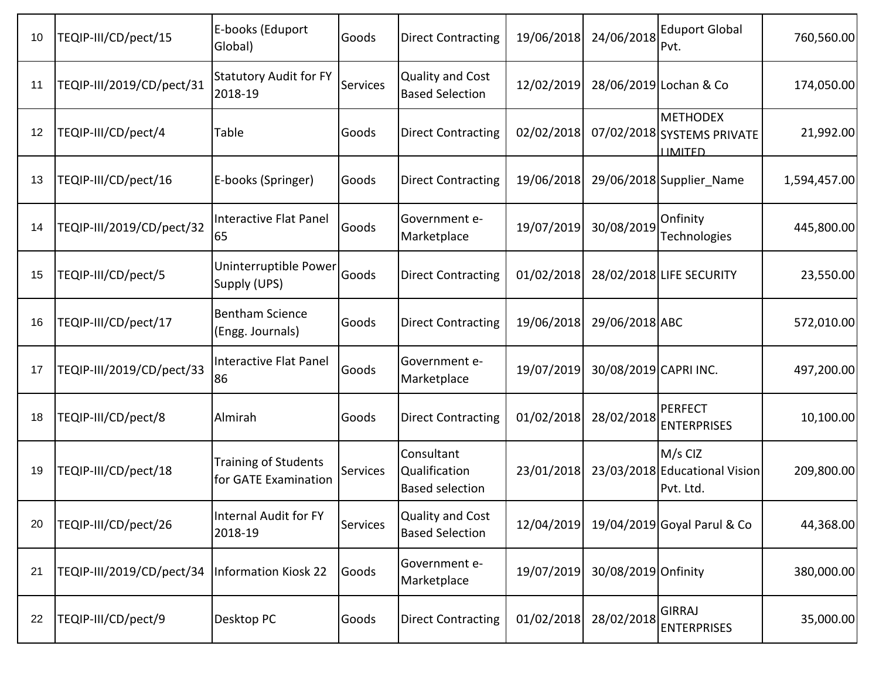| 10 | TEQIP-III/CD/pect/15      | E-books (Eduport<br>Global)                         | Goods           | <b>Direct Contracting</b>                             | 19/06/2018 | 24/06/2018            | <b>Eduport Global</b><br>Pvt.                                   | 760,560.00   |
|----|---------------------------|-----------------------------------------------------|-----------------|-------------------------------------------------------|------------|-----------------------|-----------------------------------------------------------------|--------------|
| 11 | TEQIP-III/2019/CD/pect/31 | <b>Statutory Audit for FY</b><br>2018-19            | <b>Services</b> | Quality and Cost<br><b>Based Selection</b>            | 12/02/2019 |                       | 28/06/2019 Lochan & Co                                          | 174,050.00   |
| 12 | TEQIP-III/CD/pect/4       | Table                                               | Goods           | <b>Direct Contracting</b>                             | 02/02/2018 |                       | <b>METHODEX</b><br>07/02/2018 SYSTEMS PRIVATE<br><b>LIMITED</b> | 21,992.00    |
| 13 | TEQIP-III/CD/pect/16      | E-books (Springer)                                  | Goods           | <b>Direct Contracting</b>                             | 19/06/2018 |                       | 29/06/2018 Supplier Name                                        | 1,594,457.00 |
| 14 | TEQIP-III/2019/CD/pect/32 | <b>Interactive Flat Panel</b><br>65                 | Goods           | Government e-<br>Marketplace                          | 19/07/2019 | 30/08/2019            | Onfinity<br><b>Technologies</b>                                 | 445,800.00   |
| 15 | TEQIP-III/CD/pect/5       | Uninterruptible Power<br>Supply (UPS)               | Goods           | <b>Direct Contracting</b>                             | 01/02/2018 |                       | 28/02/2018 LIFE SECURITY                                        | 23,550.00    |
| 16 | TEQIP-III/CD/pect/17      | <b>Bentham Science</b><br>(Engg. Journals)          | Goods           | <b>Direct Contracting</b>                             | 19/06/2018 | 29/06/2018 ABC        |                                                                 | 572,010.00   |
| 17 | TEQIP-III/2019/CD/pect/33 | Interactive Flat Panel<br>86                        | Goods           | Government e-<br>Marketplace                          | 19/07/2019 | 30/08/2019 CAPRI INC. |                                                                 | 497,200.00   |
| 18 | TEQIP-III/CD/pect/8       | Almirah                                             | Goods           | <b>Direct Contracting</b>                             | 01/02/2018 | 28/02/2018            | <b>PERFECT</b><br><b>ENTERPRISES</b>                            | 10,100.00    |
| 19 | TEQIP-III/CD/pect/18      | <b>Training of Students</b><br>for GATE Examination | <b>Services</b> | Consultant<br>Qualification<br><b>Based selection</b> | 23/01/2018 |                       | M/s CIZ<br>23/03/2018 Educational Vision<br>Pvt. Ltd.           | 209,800.00   |
| 20 | TEQIP-III/CD/pect/26      | Internal Audit for FY<br>2018-19                    | <b>Services</b> | Quality and Cost<br><b>Based Selection</b>            | 12/04/2019 |                       | 19/04/2019 Goyal Parul & Co                                     | 44,368.00    |
| 21 | TEQIP-III/2019/CD/pect/34 | <b>Information Kiosk 22</b>                         | Goods           | Government e-<br>Marketplace                          | 19/07/2019 | 30/08/2019 Onfinity   |                                                                 | 380,000.00   |
| 22 | TEQIP-III/CD/pect/9       | Desktop PC                                          | Goods           | <b>Direct Contracting</b>                             | 01/02/2018 | 28/02/2018            | <b>GIRRAJ</b><br><b>ENTERPRISES</b>                             | 35,000.00    |